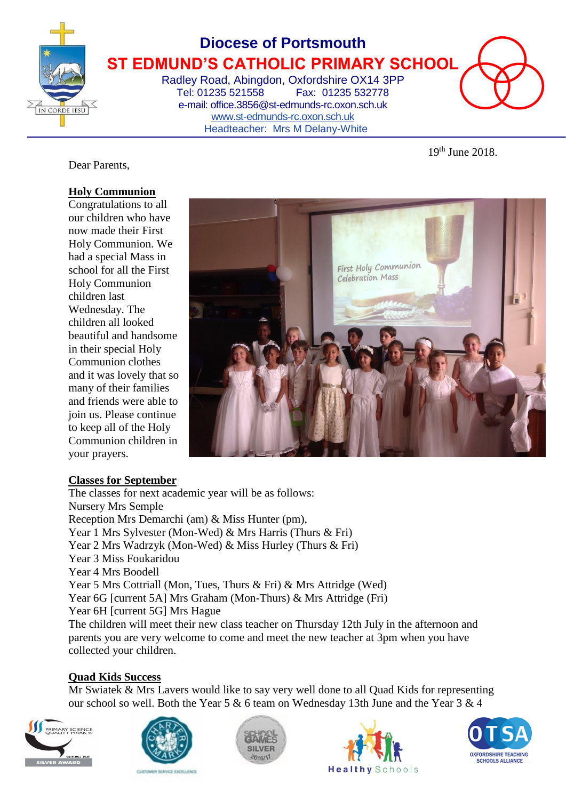

# **Diocese of Portsmouth ST EDMUND'S CATHOLIC PRIMARY SCHOOL**

Radley Road, Abingdon, Oxfordshire OX14 3PP Tel: 01235 521558 Fax: 01235 532778 e-mail: office.3856@st-edmunds-rc.oxon.sch.uk [www.st-edmunds-rc.oxon.sch.uk](http://www.st-edmunds-rc.oxon.sch.uk/) Headteacher: Mrs M Delany-White



19<sup>th</sup> June 2018.

Dear Parents,

### **Holy Communion**

Congratulations to all our children who have now made their First Holy Communion. We had a special Mass in school for all the First Holy Communion children last Wednesday. The children all looked beautiful and handsome in their special Holy Communion clothes and it was lovely that so many of their families and friends were able to join us. Please continue to keep all of the Holy Communion children in your prayers.



#### **Classes for September**

The classes for next academic year will be as follows: Nursery Mrs Semple Reception Mrs Demarchi (am) & Miss Hunter (pm), Year 1 Mrs Sylvester (Mon-Wed) & Mrs Harris (Thurs & Fri) Year 2 Mrs Wadrzyk (Mon-Wed) & Miss Hurley (Thurs & Fri) Year 3 Miss Foukaridou Year 4 Mrs Boodell Year 5 Mrs Cottriall (Mon, Tues, Thurs & Fri) & Mrs Attridge (Wed) Year 6G [current 5A] Mrs Graham (Mon-Thurs) & Mrs Attridge (Fri) Year 6H [current 5G] Mrs Hague The children will meet their new class teacher on Thursday 12th July in the afternoon and parents you are very welcome to come and meet the new teacher at 3pm when you have collected your children.

#### **Quad Kids Success**

Mr Swiatek & Mrs Lavers would like to say very well done to all Quad Kids for representing our school so well. Both the Year 5 & 6 team on Wednesday 13th June and the Year 3 & 4









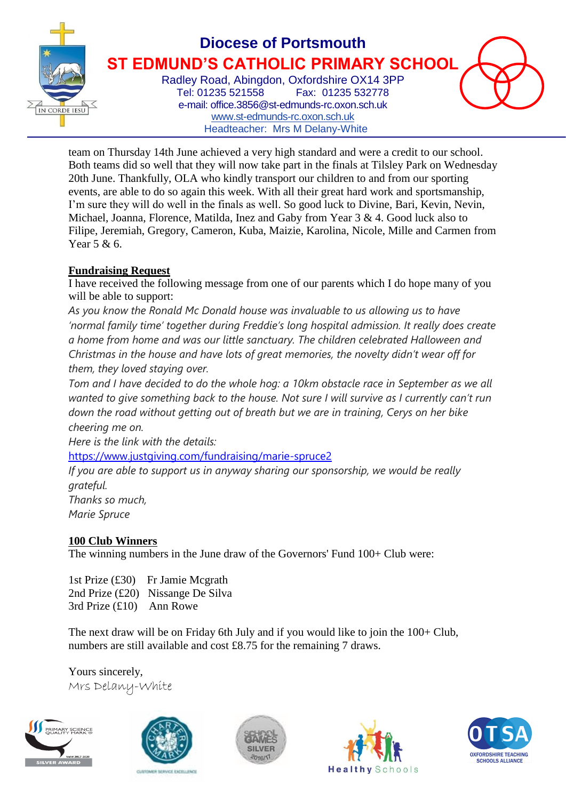

# **Diocese of Portsmouth ST EDMUND'S CATHOLIC PRIMARY SCHOOL**

Radley Road, Abingdon, Oxfordshire OX14 3PP Tel: 01235 521558 Fax: 01235 532778 e-mail: office.3856@st-edmunds-rc.oxon.sch.uk [www.st-edmunds-rc.oxon.sch.uk](http://www.st-edmunds-rc.oxon.sch.uk/) Headteacher: Mrs M Delany-White

team on Thursday 14th June achieved a very high standard and were a credit to our school. Both teams did so well that they will now take part in the finals at Tilsley Park on Wednesday 20th June. Thankfully, OLA who kindly transport our children to and from our sporting events, are able to do so again this week. With all their great hard work and sportsmanship, I'm sure they will do well in the finals as well. So good luck to Divine, Bari, Kevin, Nevin, Michael, Joanna, Florence, Matilda, Inez and Gaby from Year 3 & 4. Good luck also to Filipe, Jeremiah, Gregory, Cameron, Kuba, Maizie, Karolina, Nicole, Mille and Carmen from Year 5 & 6.

### **Fundraising Request**

I have received the following message from one of our parents which I do hope many of you will be able to support:

*As you know the Ronald Mc Donald house was invaluable to us allowing us to have 'normal family time' together during Freddie's long hospital admission. It really does create a home from home and was our little sanctuary. The children celebrated Halloween and Christmas in the house and have lots of great memories, the novelty didn't wear off for them, they loved staying over.*

*Tom and I have decided to do the whole hog: a 10km obstacle race in September as we all wanted to give something back to the house. Not sure I will survive as I currently can't run down the road without getting out of breath but we are in training, Cerys on her bike cheering me on.*

*Here is the link with the details:*

<https://www.justgiving.com/fundraising/marie-spruce2>

*If you are able to support us in anyway sharing our sponsorship, we would be really grateful. Thanks so much,*

*Marie Spruce*

## **100 Club Winners**

The winning numbers in the June draw of the Governors' Fund 100+ Club were:

1st Prize (£30) Fr Jamie Mcgrath 2nd Prize (£20) Nissange De Silva 3rd Prize (£10) Ann Rowe

The next draw will be on Friday 6th July and if you would like to join the 100+ Club, numbers are still available and cost £8.75 for the remaining 7 draws.

Yours sincerely, Mrs Delany-White









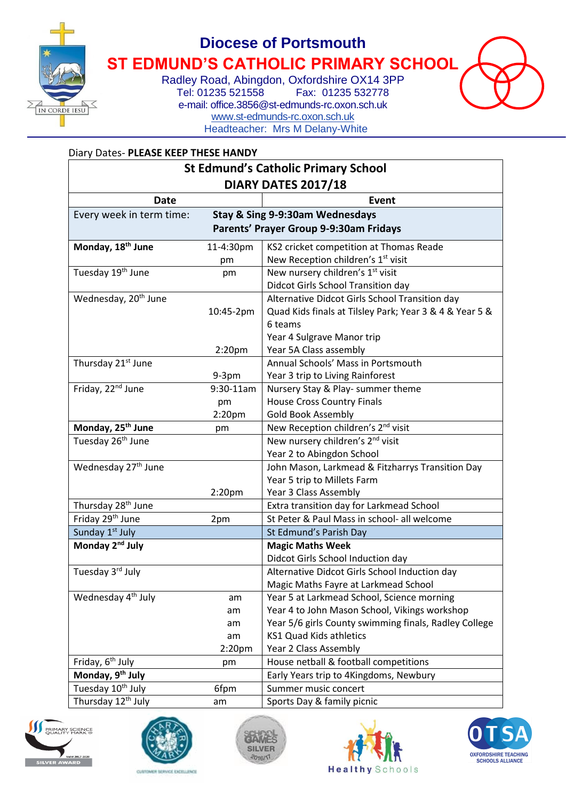

## **Diocese of Portsmouth**

**ST EDMUND'S CATHOLIC PRIMARY SCHOOL**

Radley Road, Abingdon, Oxfordshire OX14 3PP<br>Tel: 01235 521558 Fax: 01235 532778 Fax: 01235 532778 e-mail: office.3856@st-edmunds-rc.oxon.sch.uk [www.st-edmunds-rc.oxon.sch.uk](http://www.st-edmunds-rc.oxon.sch.uk/) Headteacher: Mrs M Delany-White



#### Diary Dates- **PLEASE KEEP THESE HANDY**

| <b>St Edmund's Catholic Primary School</b> |                    |                                                         |  |
|--------------------------------------------|--------------------|---------------------------------------------------------|--|
| <b>DIARY DATES 2017/18</b>                 |                    |                                                         |  |
| <b>Date</b>                                |                    | Event                                                   |  |
| Every week in term time:                   |                    | Stay & Sing 9-9:30am Wednesdays                         |  |
| Parents' Prayer Group 9-9:30am Fridays     |                    |                                                         |  |
| Monday, 18 <sup>th</sup> June              | 11-4:30pm          | KS2 cricket competition at Thomas Reade                 |  |
|                                            | pm                 | New Reception children's 1 <sup>st</sup> visit          |  |
| Tuesday 19th June                          | pm                 | New nursery children's 1 <sup>st</sup> visit            |  |
|                                            |                    | Didcot Girls School Transition day                      |  |
| Wednesday, 20 <sup>th</sup> June           |                    | Alternative Didcot Girls School Transition day          |  |
|                                            | 10:45-2pm          | Quad Kids finals at Tilsley Park; Year 3 & 4 & Year 5 & |  |
|                                            |                    | 6 teams                                                 |  |
|                                            |                    | Year 4 Sulgrave Manor trip                              |  |
|                                            | 2:20 <sub>pm</sub> | Year 5A Class assembly                                  |  |
| Thursday 21 <sup>st</sup> June             |                    | Annual Schools' Mass in Portsmouth                      |  |
|                                            | $9-3pm$            | Year 3 trip to Living Rainforest                        |  |
| Friday, 22 <sup>nd</sup> June              | 9:30-11am          | Nursery Stay & Play- summer theme                       |  |
|                                            | pm                 | <b>House Cross Country Finals</b>                       |  |
|                                            | 2:20 <sub>pm</sub> | Gold Book Assembly                                      |  |
| Monday, 25 <sup>th</sup> June              | pm                 | New Reception children's 2 <sup>nd</sup> visit          |  |
| Tuesday 26 <sup>th</sup> June              |                    | New nursery children's 2 <sup>nd</sup> visit            |  |
|                                            |                    | Year 2 to Abingdon School                               |  |
| Wednesday 27 <sup>th</sup> June            |                    | John Mason, Larkmead & Fitzharrys Transition Day        |  |
|                                            |                    | Year 5 trip to Millets Farm                             |  |
|                                            | 2:20 <sub>pm</sub> | Year 3 Class Assembly                                   |  |
| Thursday 28 <sup>th</sup> June             |                    | Extra transition day for Larkmead School                |  |
| Friday 29 <sup>th</sup> June               | 2pm                | St Peter & Paul Mass in school- all welcome             |  |
| Sunday 1st July                            |                    | St Edmund's Parish Day                                  |  |
| Monday 2 <sup>nd</sup> July                |                    | <b>Magic Maths Week</b>                                 |  |
|                                            |                    | Didcot Girls School Induction day                       |  |
| Tuesday 3rd July                           |                    | Alternative Didcot Girls School Induction day           |  |
|                                            |                    | Magic Maths Fayre at Larkmead School                    |  |
| Wednesday 4 <sup>th</sup> July             | am                 | Year 5 at Larkmead School, Science morning              |  |
|                                            | am                 | Year 4 to John Mason School, Vikings workshop           |  |
|                                            | am                 | Year 5/6 girls County swimming finals, Radley College   |  |
|                                            | am                 | KS1 Quad Kids athletics                                 |  |
|                                            | 2:20 <sub>pm</sub> | Year 2 Class Assembly                                   |  |
| Friday, 6 <sup>th</sup> July               | pm                 | House netball & football competitions                   |  |
| Monday, 9 <sup>th</sup> July               |                    | Early Years trip to 4Kingdoms, Newbury                  |  |
| Tuesday 10 <sup>th</sup> July              | 6fpm               | Summer music concert                                    |  |
| Thursday 12 <sup>th</sup> July             | am                 | Sports Day & family picnic                              |  |